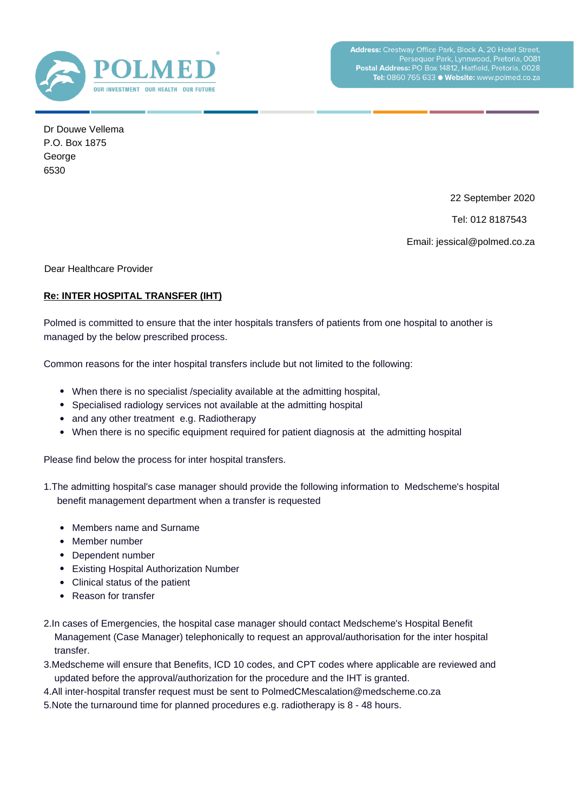

Dr Douwe Vellema P.O. Box 1875 **George** 6530

22 September 2020

Tel: 012 8187543

Email: jessical@polmed.co.za

Dear Healthcare Provider

## **Re: INTER HOSPITAL TRANSFER (IHT)**

Polmed is committed to ensure that the inter hospitals transfers of patients from one hospital to another is managed by the below prescribed process.

Common reasons for the inter hospital transfers include but not limited to the following:

- When there is no specialist / speciality available at the admitting hospital,
- Specialised radiology services not available at the admitting hospital
- and any other treatment e.g. Radiotherapy
- When there is no specific equipment required for patient diagnosis at the admitting hospital

Please find below the process for inter hospital transfers.

- 1. The admitting hospital's case manager should provide the following information to Medscheme's hospital benefit management department when a transfer is requested
	- Members name and Surname
	- Member number
	- Dependent number
	- Existing Hospital Authorization Number
	- Clinical status of the patient
	- Reason for transfer
- 2. In cases of Emergencies, the hospital case manager should contact Medscheme's Hospital Benefit Management (Case Manager) telephonically to request an approval/authorisation for the inter hospital transfer.
- 3. Medscheme will ensure that Benefits, ICD 10 codes, and CPT codes where applicable are reviewed and updated before the approval/authorization for the procedure and the IHT is granted.
- 4. All inter-hospital transfer request must be sent to PolmedCMescalation@medscheme.co.za
- 5. Note the turnaround time for planned procedures e.g. radiotherapy is 8 48 hours.